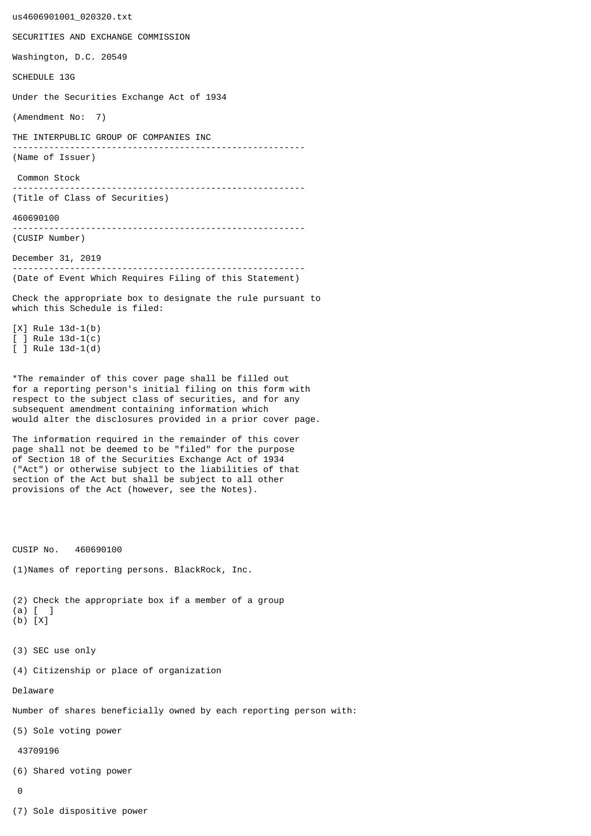us4606901001\_020320.txt SECURITIES AND EXCHANGE COMMISSION Washington, D.C. 20549 SCHEDULE 13G Under the Securities Exchange Act of 1934 (Amendment No: 7) THE INTERPUBLIC GROUP OF COMPANIES INC -------------------------------------------------------- (Name of Issuer) Common Stock -------------------------------------------------------- (Title of Class of Securities) 460690100 -------------------------------------------------------- (CUSIP Number) December 31, 2019 -------------------------------------------------------- (Date of Event Which Requires Filing of this Statement) Check the appropriate box to designate the rule pursuant to which this Schedule is filed: [X] Rule 13d-1(b) [ ] Rule 13d-1(c) [ ] Rule 13d-1(d) \*The remainder of this cover page shall be filled out for a reporting person's initial filing on this form with respect to the subject class of securities, and for any subsequent amendment containing information which would alter the disclosures provided in a prior cover page. The information required in the remainder of this cover page shall not be deemed to be "filed" for the purpose of Section 18 of the Securities Exchange Act of 1934 ("Act") or otherwise subject to the liabilities of that section of the Act but shall be subject to all other provisions of the Act (however, see the Notes). CUSIP No. 460690100 (1)Names of reporting persons. BlackRock, Inc. (2) Check the appropriate box if a member of a group (a) [ ] (b) [X] (3) SEC use only (4) Citizenship or place of organization Delaware Number of shares beneficially owned by each reporting person with: (5) Sole voting power 43709196 (6) Shared voting power

 $\Omega$ 

(7) Sole dispositive power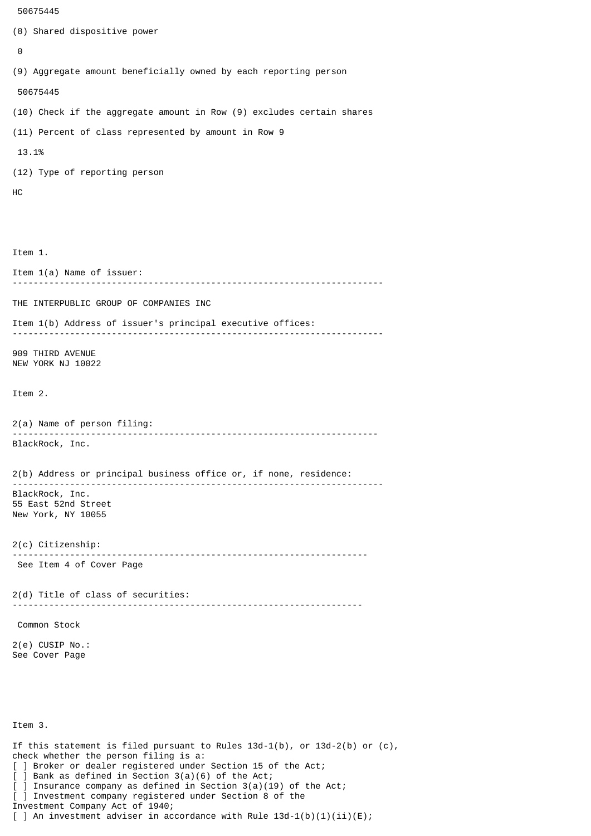```
 50675445
(8) Shared dispositive power
 \Omega(9) Aggregate amount beneficially owned by each reporting person
  50675445
(10) Check if the aggregate amount in Row (9) excludes certain shares
(11) Percent of class represented by amount in Row 9
  13.1%
(12) Type of reporting person
HC
Item 1.
Item 1(a) Name of issuer:
                                        -----------------------------------------------------------------------
THE INTERPUBLIC GROUP OF COMPANIES INC
Item 1(b) Address of issuer's principal executive offices:
-----------------------------------------------------------------------
909 THIRD AVENUE
NEW YORK NJ 10022
Item 2.
2(a) Name of person filing:
                ----------------------------------------------------------------------
BlackRock, Inc.
2(b) Address or principal business office or, if none, residence:
-----------------------------------------------------------------------
BlackRock, Inc.
55 East 52nd Street
New York, NY 10055
2(c) Citizenship:
                            --------------------------------------------------------------------
 See Item 4 of Cover Page
2(d) Title of class of securities:
                                      -------------------------------------------------------------------
  Common Stock
2(e) CUSIP No.:
See Cover Page
Item 3.
If this statement is filed pursuant to Rules 13d-1(b), or 13d-2(b) or (c),
check whether the person filing is a:
[ ] Broker or dealer registered under Section 15 of the Act;
```
[ ] Bank as defined in Section 3(a)(6) of the Act;

[ ] Insurance company as defined in Section 3(a)(19) of the Act;

[ ] Investment company registered under Section 8 of the Investment Company Act of 1940;

[ ] An investment adviser in accordance with Rule  $13d-1(b)(1)(ii)(E)$ ;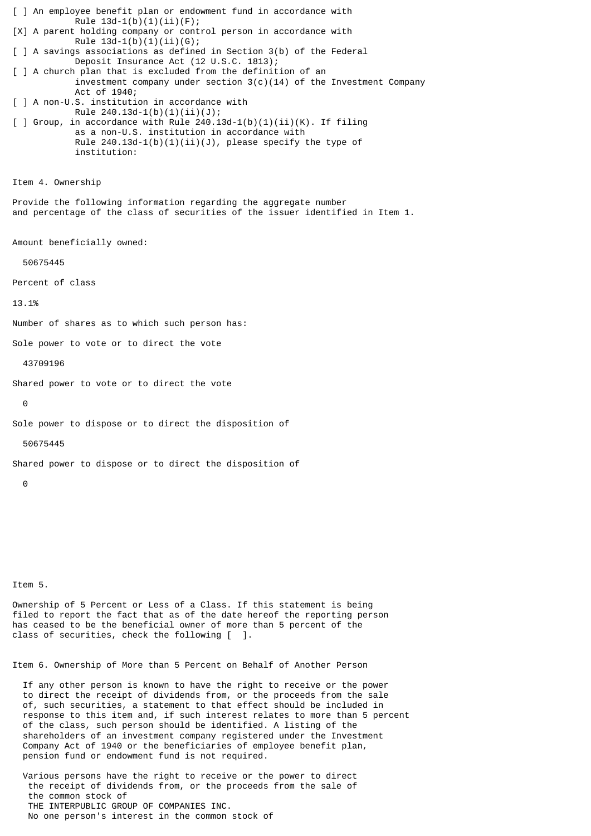[ ] An employee benefit plan or endowment fund in accordance with Rule  $13d-1(b)(1)(ii)(F);$ [X] A parent holding company or control person in accordance with Rule  $13d-1(b)(1)(ii)(G);$ [ ] A savings associations as defined in Section 3(b) of the Federal Deposit Insurance Act (12 U.S.C. 1813); [ ] A church plan that is excluded from the definition of an investment company under section  $3(c)(14)$  of the Investment Company Act of 1940; [ ] A non-U.S. institution in accordance with Rule  $240.13d-1(b)(1)(ii)(J);$  $[$  ] Group, in accordance with Rule 240.13d-1(b)(1)(ii)(K). If filing as a non-U.S. institution in accordance with Rule  $240.13d-1(b)(1)(ii)(J)$ , please specify the type of institution: Item 4. Ownership Provide the following information regarding the aggregate number and percentage of the class of securities of the issuer identified in Item 1. Amount beneficially owned: 50675445 Percent of class 13.1% Number of shares as to which such person has: Sole power to vote or to direct the vote 43709196 Shared power to vote or to direct the vote  $\Theta$ Sole power to dispose or to direct the disposition of 50675445 Shared power to dispose or to direct the disposition of  $\Omega$ 

Item 5.

Ownership of 5 Percent or Less of a Class. If this statement is being filed to report the fact that as of the date hereof the reporting person has ceased to be the beneficial owner of more than 5 percent of the class of securities, check the following [ ].

Item 6. Ownership of More than 5 Percent on Behalf of Another Person

 If any other person is known to have the right to receive or the power to direct the receipt of dividends from, or the proceeds from the sale of, such securities, a statement to that effect should be included in response to this item and, if such interest relates to more than 5 percent of the class, such person should be identified. A listing of the shareholders of an investment company registered under the Investment Company Act of 1940 or the beneficiaries of employee benefit plan, pension fund or endowment fund is not required.

 Various persons have the right to receive or the power to direct the receipt of dividends from, or the proceeds from the sale of the common stock of THE INTERPUBLIC GROUP OF COMPANIES INC. No one person's interest in the common stock of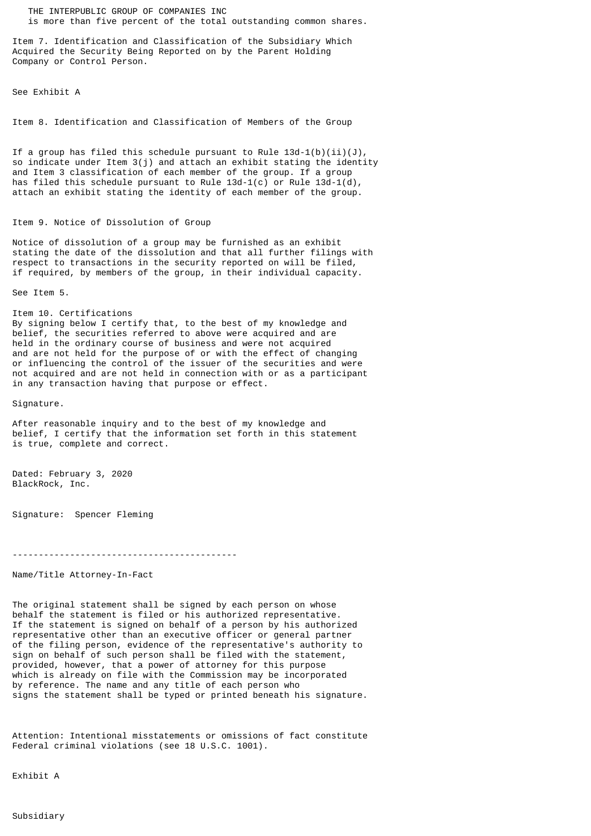THE INTERPUBLIC GROUP OF COMPANIES INC is more than five percent of the total outstanding common shares.

Item 7. Identification and Classification of the Subsidiary Which Acquired the Security Being Reported on by the Parent Holding Company or Control Person.

See Exhibit A

Item 8. Identification and Classification of Members of the Group

If a group has filed this schedule pursuant to Rule  $13d-1(b)(ii)(J)$ , so indicate under Item 3(j) and attach an exhibit stating the identity and Item 3 classification of each member of the group. If a group has filed this schedule pursuant to Rule  $13d-1(c)$  or Rule  $13d-1(d)$ , attach an exhibit stating the identity of each member of the group.

## Item 9. Notice of Dissolution of Group

Notice of dissolution of a group may be furnished as an exhibit stating the date of the dissolution and that all further filings with respect to transactions in the security reported on will be filed, if required, by members of the group, in their individual capacity.

See Item 5.

Item 10. Certifications By signing below I certify that, to the best of my knowledge and belief, the securities referred to above were acquired and are held in the ordinary course of business and were not acquired and are not held for the purpose of or with the effect of changing or influencing the control of the issuer of the securities and were not acquired and are not held in connection with or as a participant in any transaction having that purpose or effect.

Signature.

After reasonable inquiry and to the best of my knowledge and belief, I certify that the information set forth in this statement is true, complete and correct.

Dated: February 3, 2020 BlackRock, Inc.

Signature: Spencer Fleming

-------------------------------------------

Name/Title Attorney-In-Fact

The original statement shall be signed by each person on whose behalf the statement is filed or his authorized representative. If the statement is signed on behalf of a person by his authorized representative other than an executive officer or general partner of the filing person, evidence of the representative's authority to sign on behalf of such person shall be filed with the statement, provided, however, that a power of attorney for this purpose which is already on file with the Commission may be incorporated by reference. The name and any title of each person who signs the statement shall be typed or printed beneath his signature.

Attention: Intentional misstatements or omissions of fact constitute Federal criminal violations (see 18 U.S.C. 1001).

Exhibit A